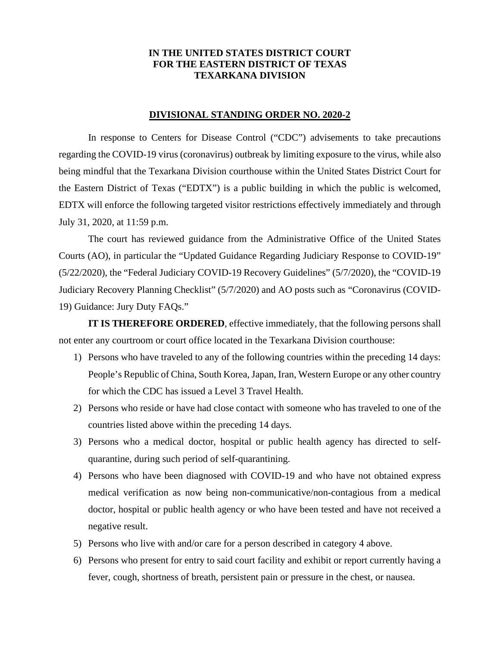## **IN THE UNITED STATES DISTRICT COURT FOR THE EASTERN DISTRICT OF TEXAS TEXARKANA DIVISION**

## **DIVISIONAL STANDING ORDER NO. 2020-2**

In response to Centers for Disease Control ("CDC") advisements to take precautions regarding the COVID-19 virus (coronavirus) outbreak by limiting exposure to the virus, while also being mindful that the Texarkana Division courthouse within the United States District Court for the Eastern District of Texas ("EDTX") is a public building in which the public is welcomed, EDTX will enforce the following targeted visitor restrictions effectively immediately and through July 31, 2020, at 11:59 p.m.

The court has reviewed guidance from the Administrative Office of the United States Courts (AO), in particular the "Updated Guidance Regarding Judiciary Response to COVID-19" (5/22/2020), the "Federal Judiciary COVID-19 Recovery Guidelines" (5/7/2020), the "COVID-19 Judiciary Recovery Planning Checklist" (5/7/2020) and AO posts such as "Coronavirus (COVID-19) Guidance: Jury Duty FAQs."

**IT IS THEREFORE ORDERED**, effective immediately, that the following persons shall not enter any courtroom or court office located in the Texarkana Division courthouse:

- 1) Persons who have traveled to any of the following countries within the preceding 14 days: People's Republic of China, South Korea, Japan, Iran, Western Europe or any other country for which the CDC has issued a Level 3 Travel Health.
- 2) Persons who reside or have had close contact with someone who has traveled to one of the countries listed above within the preceding 14 days.
- 3) Persons who a medical doctor, hospital or public health agency has directed to selfquarantine, during such period of self-quarantining.
- 4) Persons who have been diagnosed with COVID-19 and who have not obtained express medical verification as now being non-communicative/non-contagious from a medical doctor, hospital or public health agency or who have been tested and have not received a negative result.
- 5) Persons who live with and/or care for a person described in category 4 above.
- 6) Persons who present for entry to said court facility and exhibit or report currently having a fever, cough, shortness of breath, persistent pain or pressure in the chest, or nausea.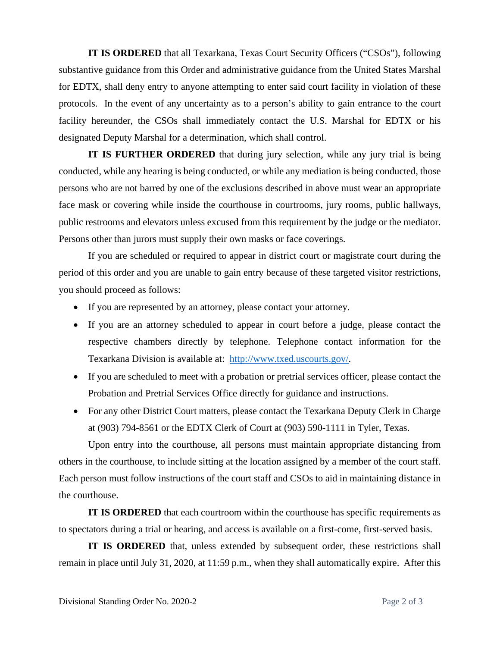**IT IS ORDERED** that all Texarkana, Texas Court Security Officers ("CSOs"), following substantive guidance from this Order and administrative guidance from the United States Marshal for EDTX, shall deny entry to anyone attempting to enter said court facility in violation of these protocols. In the event of any uncertainty as to a person's ability to gain entrance to the court facility hereunder, the CSOs shall immediately contact the U.S. Marshal for EDTX or his designated Deputy Marshal for a determination, which shall control.

**IT IS FURTHER ORDERED** that during jury selection, while any jury trial is being conducted, while any hearing is being conducted, or while any mediation is being conducted, those persons who are not barred by one of the exclusions described in above must wear an appropriate face mask or covering while inside the courthouse in courtrooms, jury rooms, public hallways, public restrooms and elevators unless excused from this requirement by the judge or the mediator. Persons other than jurors must supply their own masks or face coverings.

If you are scheduled or required to appear in district court or magistrate court during the period of this order and you are unable to gain entry because of these targeted visitor restrictions, you should proceed as follows:

- If you are represented by an attorney, please contact your attorney.
- If you are an attorney scheduled to appear in court before a judge, please contact the respective chambers directly by telephone. Telephone contact information for the Texarkana Division is available at: http://www.txed.uscourts.gov/.
- If you are scheduled to meet with a probation or pretrial services officer, please contact the Probation and Pretrial Services Office directly for guidance and instructions.
- For any other District Court matters, please contact the Texarkana Deputy Clerk in Charge at (903) 794-8561 or the EDTX Clerk of Court at (903) 590-1111 in Tyler, Texas.

Upon entry into the courthouse, all persons must maintain appropriate distancing from others in the courthouse, to include sitting at the location assigned by a member of the court staff. Each person must follow instructions of the court staff and CSOs to aid in maintaining distance in the courthouse.

**IT IS ORDERED** that each courtroom within the courthouse has specific requirements as to spectators during a trial or hearing, and access is available on a first-come, first-served basis.

**IT IS ORDERED** that, unless extended by subsequent order, these restrictions shall remain in place until July 31, 2020, at 11:59 p.m., when they shall automatically expire. After this